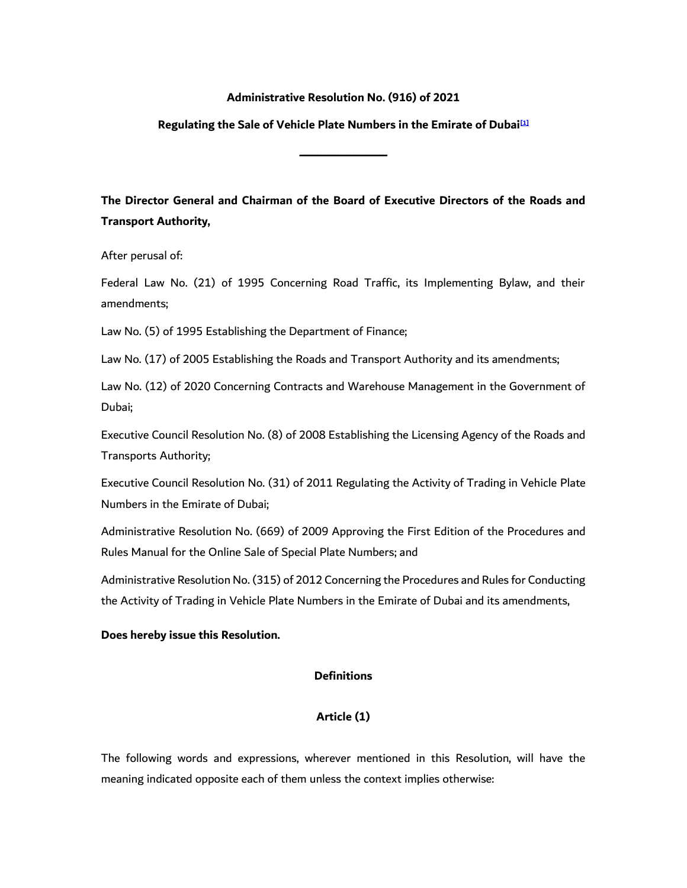#### **Administrative Resolution No. (916) of 2021**

#### **Regulating the Sale of Vehicle Plate Numbers in the Emirate of Dubai[\[1\]](https://dlp.dubai.gov.ae/Legislation%20Reference/2021/Admin%20Resolution%20No.%20(916)%20of%202021.html#_ftn1)**

**ـــــــــــــــــــــــــــــــــــــــــــــــــــــــــــــــــــــــــــــــــــــــــ**

**The Director General and Chairman of the Board of Executive Directors of the Roads and Transport Authority,**

After perusal of:

Federal Law No. (21) of 1995 Concerning Road Traffic, its Implementing Bylaw, and their amendments;

Law No. (5) of 1995 Establishing the Department of Finance;

Law No. (17) of 2005 Establishing the Roads and Transport Authority and its amendments;

Law No. (12) of 2020 Concerning Contracts and Warehouse Management in the Government of Dubai;

Executive Council Resolution No. (8) of 2008 Establishing the Licensing Agency of the Roads and Transports Authority;

Executive Council Resolution No. (31) of 2011 Regulating the Activity of Trading in Vehicle Plate Numbers in the Emirate of Dubai;

Administrative Resolution No. (669) of 2009 Approving the First Edition of the Procedures and Rules Manual for the Online Sale of Special Plate Numbers; and

Administrative Resolution No. (315) of 2012 Concerning the Procedures and Rules for Conducting the Activity of Trading in Vehicle Plate Numbers in the Emirate of Dubai and its amendments,

#### **Does hereby issue this Resolution.**

## **Definitions**

## **Article (1)**

The following words and expressions, wherever mentioned in this Resolution, will have the meaning indicated opposite each of them unless the context implies otherwise: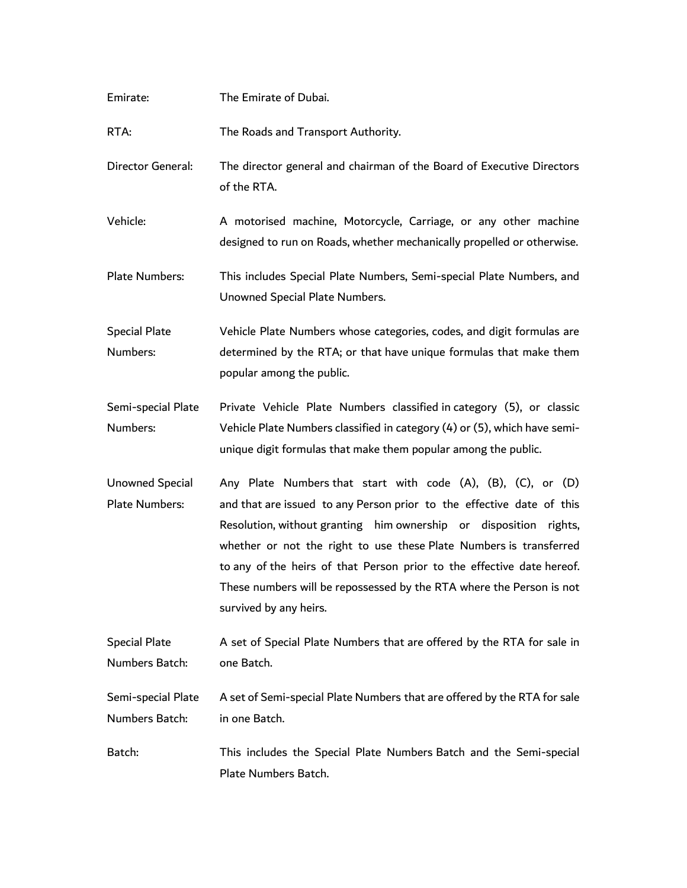| Emirate:                               | The Emirate of Dubai.                                                                                                                                                                                                                                                                                                                                                                                                                                                      |
|----------------------------------------|----------------------------------------------------------------------------------------------------------------------------------------------------------------------------------------------------------------------------------------------------------------------------------------------------------------------------------------------------------------------------------------------------------------------------------------------------------------------------|
| RTA:                                   | The Roads and Transport Authority.                                                                                                                                                                                                                                                                                                                                                                                                                                         |
| Director General:                      | The director general and chairman of the Board of Executive Directors<br>of the RTA.                                                                                                                                                                                                                                                                                                                                                                                       |
| Vehicle:                               | A motorised machine, Motorcycle, Carriage, or any other machine<br>designed to run on Roads, whether mechanically propelled or otherwise.                                                                                                                                                                                                                                                                                                                                  |
| Plate Numbers:                         | This includes Special Plate Numbers, Semi-special Plate Numbers, and<br>Unowned Special Plate Numbers.                                                                                                                                                                                                                                                                                                                                                                     |
| <b>Special Plate</b><br>Numbers:       | Vehicle Plate Numbers whose categories, codes, and digit formulas are<br>determined by the RTA; or that have unique formulas that make them<br>popular among the public.                                                                                                                                                                                                                                                                                                   |
| Semi-special Plate<br>Numbers:         | Private Vehicle Plate Numbers classified in category (5), or classic<br>Vehicle Plate Numbers classified in category (4) or (5), which have semi-<br>unique digit formulas that make them popular among the public.                                                                                                                                                                                                                                                        |
| Unowned Special<br>Plate Numbers:      | Any Plate Numbers that start with code $(A)$ , $(B)$ , $(C)$ , or $(D)$<br>and that are issued to any Person prior to the effective date of this<br>Resolution, without granting him ownership or disposition<br>rights,<br>whether or not the right to use these Plate Numbers is transferred<br>to any of the heirs of that Person prior to the effective date hereof.<br>These numbers will be repossessed by the RTA where the Person is not<br>survived by any heirs. |
| <b>Special Plate</b><br>Numbers Batch: | A set of Special Plate Numbers that are offered by the RTA for sale in<br>one Batch.                                                                                                                                                                                                                                                                                                                                                                                       |
| Semi-special Plate<br>Numbers Batch:   | A set of Semi-special Plate Numbers that are offered by the RTA for sale<br>in one Batch.                                                                                                                                                                                                                                                                                                                                                                                  |
| Batch:                                 | This includes the Special Plate Numbers Batch and the Semi-special<br>Plate Numbers Batch.                                                                                                                                                                                                                                                                                                                                                                                 |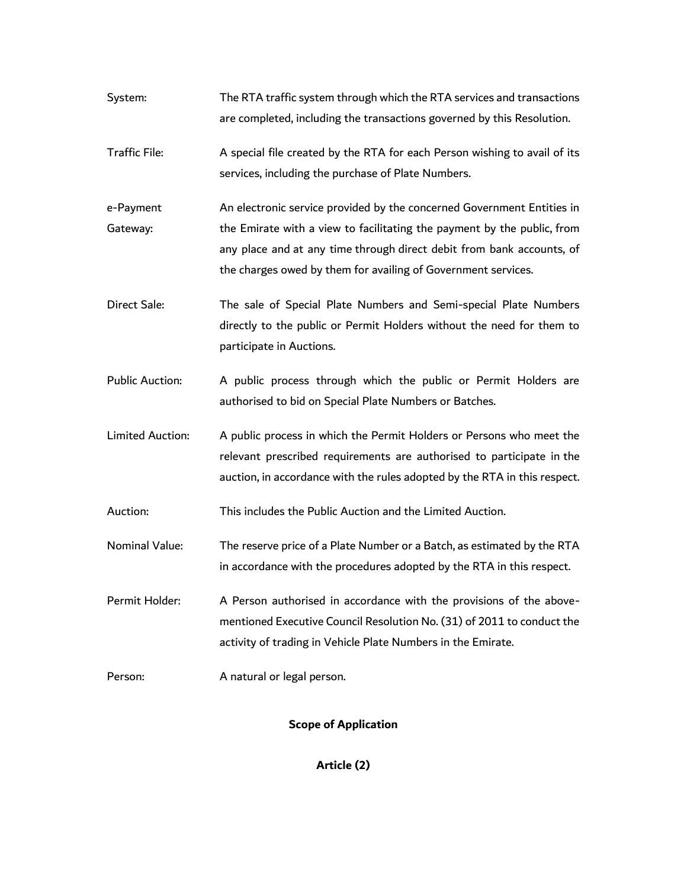- System: The RTA traffic system through which the RTA services and transactions are completed, including the transactions governed by this Resolution.
- Traffic File: A special file created by the RTA for each Person wishing to avail of its services, including the purchase of Plate Numbers.
- e-Payment Gateway: An electronic service provided by the concerned Government Entities in the Emirate with a view to facilitating the payment by the public, from any place and at any time through direct debit from bank accounts, of the charges owed by them for availing of Government services.
- Direct Sale: The sale of Special Plate Numbers and Semi-special Plate Numbers directly to the public or Permit Holders without the need for them to participate in Auctions.
- Public Auction: A public process through which the public or Permit Holders are authorised to bid on Special Plate Numbers or Batches.
- Limited Auction: A public process in which the Permit Holders or Persons who meet the relevant prescribed requirements are authorised to participate in the auction, in accordance with the rules adopted by the RTA in this respect.

Auction: This includes the Public Auction and the Limited Auction.

- Nominal Value: The reserve price of a Plate Number or a Batch, as estimated by the RTA in accordance with the procedures adopted by the RTA in this respect.
- Permit Holder: A Person authorised in accordance with the provisions of the abovementioned Executive Council Resolution No. (31) of 2011 to conduct the activity of trading in Vehicle Plate Numbers in the Emirate.

Person: A natural or legal person.

# **Scope of Application**

**Article (2)**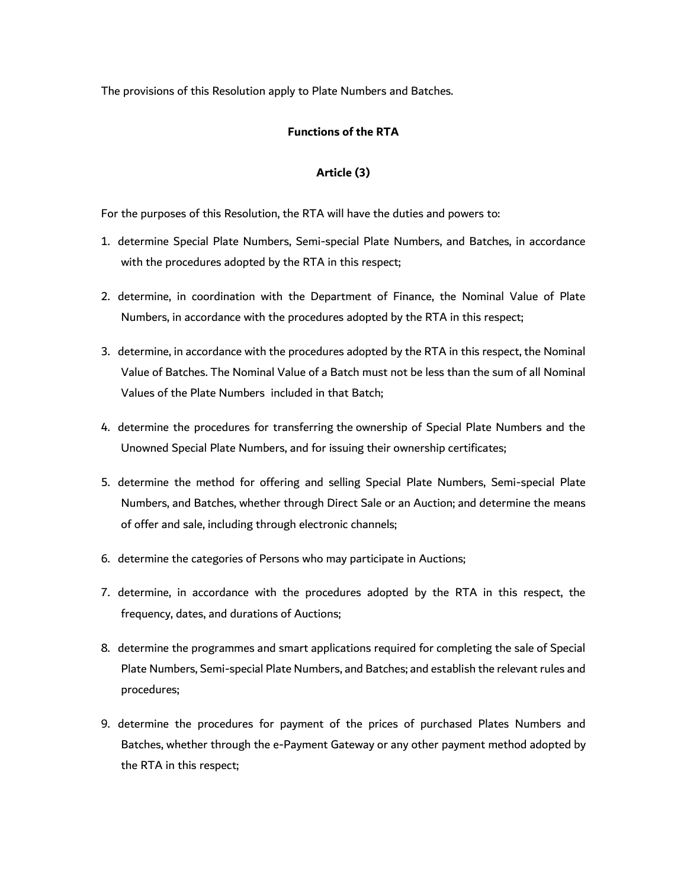The provisions of this Resolution apply to Plate Numbers and Batches.

### **Functions of the RTA**

### **Article (3)**

For the purposes of this Resolution, the RTA will have the duties and powers to:

- 1. determine Special Plate Numbers, Semi-special Plate Numbers, and Batches, in accordance with the procedures adopted by the RTA in this respect;
- 2. determine, in coordination with the Department of Finance, the Nominal Value of Plate Numbers, in accordance with the procedures adopted by the RTA in this respect;
- 3. determine, in accordance with the procedures adopted by the RTA in this respect, the Nominal Value of Batches. The Nominal Value of a Batch must not be less than the sum of all Nominal Values of the Plate Numbers included in that Batch;
- 4. determine the procedures for transferring the ownership of Special Plate Numbers and the Unowned Special Plate Numbers, and for issuing their ownership certificates;
- 5. determine the method for offering and selling Special Plate Numbers, Semi-special Plate Numbers, and Batches, whether through Direct Sale or an Auction; and determine the means of offer and sale, including through electronic channels;
- 6. determine the categories of Persons who may participate in Auctions;
- 7. determine, in accordance with the procedures adopted by the RTA in this respect, the frequency, dates, and durations of Auctions;
- 8. determine the programmes and smart applications required for completing the sale of Special Plate Numbers, Semi-special Plate Numbers, and Batches; and establish the relevant rules and procedures;
- 9. determine the procedures for payment of the prices of purchased Plates Numbers and Batches, whether through the e-Payment Gateway or any other payment method adopted by the RTA in this respect;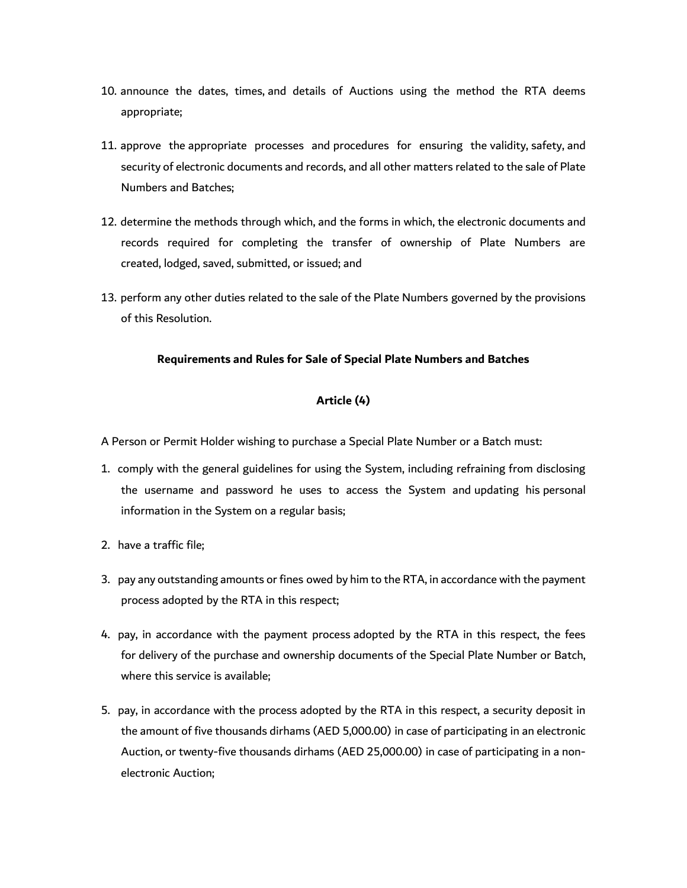- 10. announce the dates, times, and details of Auctions using the method the RTA deems appropriate;
- 11. approve the appropriate processes and procedures for ensuring the validity, safety, and security of electronic documents and records, and all other matters related to the sale of Plate Numbers and Batches;
- 12. determine the methods through which, and the forms in which, the electronic documents and records required for completing the transfer of ownership of Plate Numbers are created, lodged, saved, submitted, or issued; and
- 13. perform any other duties related to the sale of the Plate Numbers governed by the provisions of this Resolution.

### **Requirements and Rules for Sale of Special Plate Numbers and Batches**

### **Article (4)**

A Person or Permit Holder wishing to purchase a Special Plate Number or a Batch must:

- 1. comply with the general guidelines for using the System, including refraining from disclosing the username and password he uses to access the System and updating his personal information in the System on a regular basis;
- 2. have a traffic file;
- 3. pay any outstanding amounts or fines owed by him to the RTA, in accordance with the payment process adopted by the RTA in this respect;
- 4. pay, in accordance with the payment process adopted by the RTA in this respect, the fees for delivery of the purchase and ownership documents of the Special Plate Number or Batch, where this service is available;
- 5. pay, in accordance with the process adopted by the RTA in this respect, a security deposit in the amount of five thousands dirhams (AED 5,000.00) in case of participating in an electronic Auction, or twenty-five thousands dirhams (AED 25,000.00) in case of participating in a nonelectronic Auction;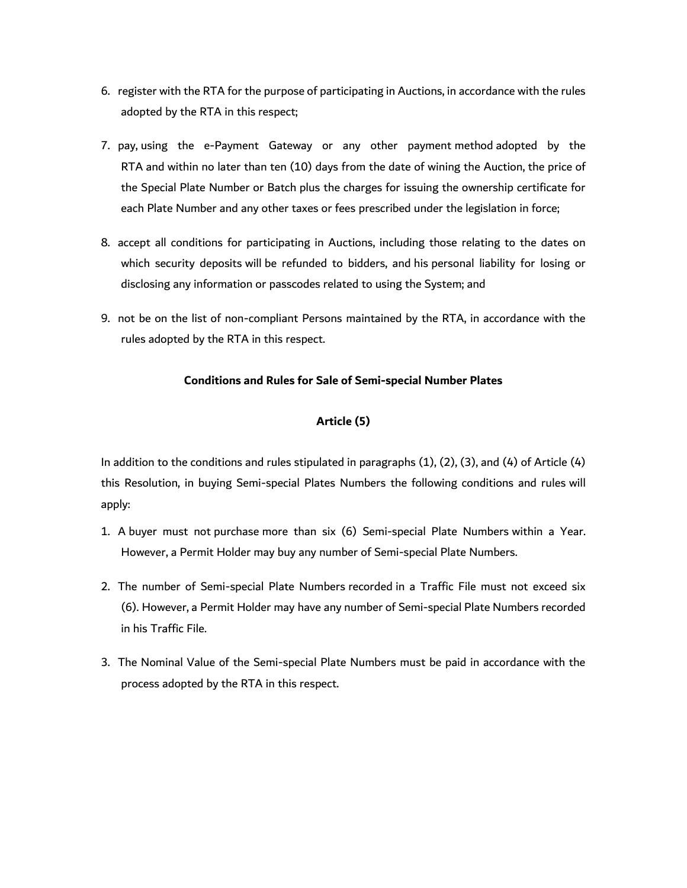- 6. register with the RTA for the purpose of participating in Auctions, in accordance with the rules adopted by the RTA in this respect;
- 7. pay, using the e-Payment Gateway or any other payment method adopted by the RTA and within no later than ten (10) days from the date of wining the Auction, the price of the Special Plate Number or Batch plus the charges for issuing the ownership certificate for each Plate Number and any other taxes or fees prescribed under the legislation in force;
- 8. accept all conditions for participating in Auctions, including those relating to the dates on which security deposits will be refunded to bidders, and his personal liability for losing or disclosing any information or passcodes related to using the System; and
- 9. not be on the list of non-compliant Persons maintained by the RTA, in accordance with the rules adopted by the RTA in this respect.

#### **Conditions and Rules for Sale of Semi-special Number Plates**

### **Article (5)**

In addition to the conditions and rules stipulated in paragraphs  $(1)$ ,  $(2)$ ,  $(3)$ , and  $(4)$  of Article  $(4)$ this Resolution, in buying Semi-special Plates Numbers the following conditions and rules will apply:

- 1. A buyer must not purchase more than six (6) Semi-special Plate Numbers within a Year. However, a Permit Holder may buy any number of Semi-special Plate Numbers.
- 2. The number of Semi-special Plate Numbers recorded in a Traffic File must not exceed six (6). However, a Permit Holder may have any number of Semi-special Plate Numbers recorded in his Traffic File.
- 3. The Nominal Value of the Semi-special Plate Numbers must be paid in accordance with the process adopted by the RTA in this respect.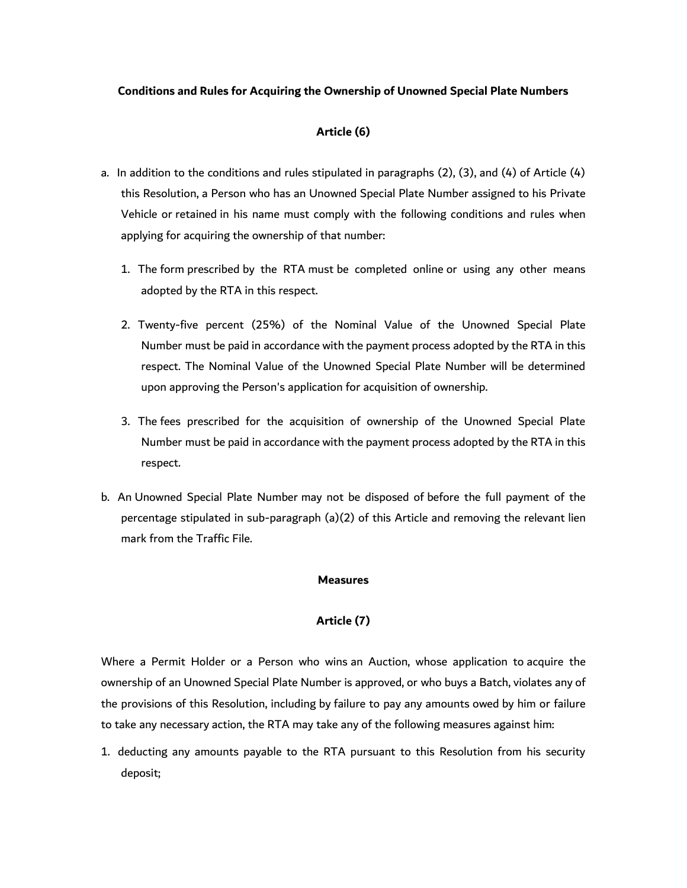#### **Conditions and Rules for Acquiring the Ownership of Unowned Special Plate Numbers**

## **Article (6)**

- a. In addition to the conditions and rules stipulated in paragraphs (2), (3), and (4) of Article (4) this Resolution, a Person who has an Unowned Special Plate Number assigned to his Private Vehicle or retained in his name must comply with the following conditions and rules when applying for acquiring the ownership of that number:
	- 1. The form prescribed by the RTA must be completed online or using any other means adopted by the RTA in this respect.
	- 2. Twenty-five percent (25%) of the Nominal Value of the Unowned Special Plate Number must be paid in accordance with the payment process adopted by the RTA in this respect. The Nominal Value of the Unowned Special Plate Number will be determined upon approving the Person's application for acquisition of ownership.
	- 3. The fees prescribed for the acquisition of ownership of the Unowned Special Plate Number must be paid in accordance with the payment process adopted by the RTA in this respect.
- b. An Unowned Special Plate Number may not be disposed of before the full payment of the percentage stipulated in sub-paragraph (a)(2) of this Article and removing the relevant lien mark from the Traffic File.

#### **Measures**

### **Article (7)**

Where a Permit Holder or a Person who wins an Auction, whose application to acquire the ownership of an Unowned Special Plate Number is approved, or who buys a Batch, violates any of the provisions of this Resolution, including by failure to pay any amounts owed by him or failure to take any necessary action, the RTA may take any of the following measures against him:

1. deducting any amounts payable to the RTA pursuant to this Resolution from his security deposit;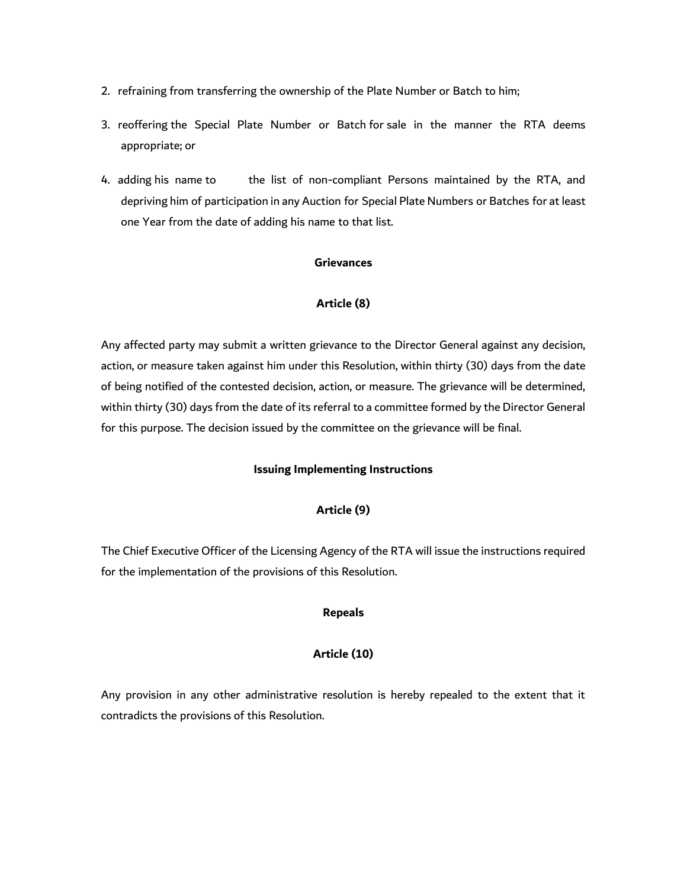- 2. refraining from transferring the ownership of the Plate Number or Batch to him;
- 3. reoffering the Special Plate Number or Batch for sale in the manner the RTA deems appropriate; or
- 4. adding his name to the list of non-compliant Persons maintained by the RTA, and depriving him of participation in any Auction for Special Plate Numbers or Batches for at least one Year from the date of adding his name to that list.

### **Grievances**

### **Article (8)**

Any affected party may submit a written grievance to the Director General against any decision, action, or measure taken against him under this Resolution, within thirty (30) days from the date of being notified of the contested decision, action, or measure. The grievance will be determined, within thirty (30) days from the date of its referral to a committee formed by the Director General for this purpose. The decision issued by the committee on the grievance will be final.

#### **Issuing Implementing Instructions**

### **Article (9)**

The Chief Executive Officer of the Licensing Agency of the RTA will issue the instructions required for the implementation of the provisions of this Resolution.

### **Repeals**

## **Article (10)**

Any provision in any other administrative resolution is hereby repealed to the extent that it contradicts the provisions of this Resolution.